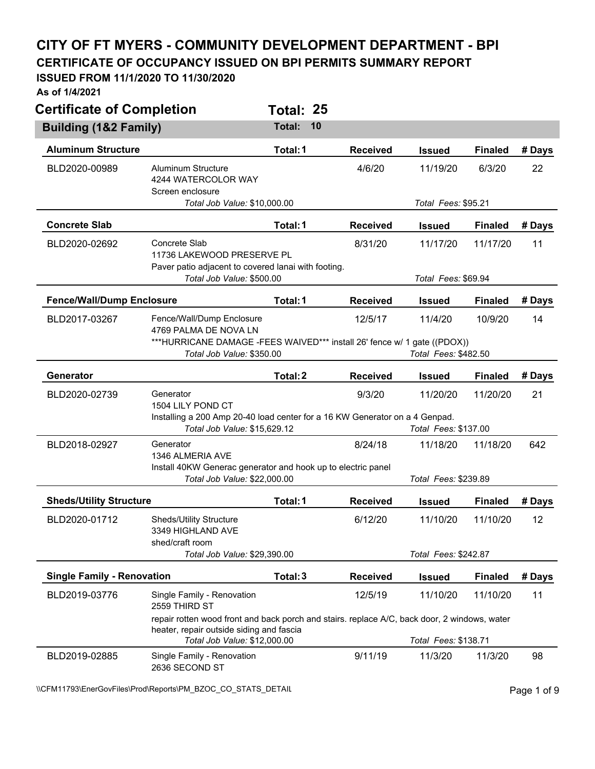## **CITY OF FT MYERS - COMMUNITY DEVELOPMENT DEPARTMENT - BPI**

**CERTIFICATE OF OCCUPANCY ISSUED ON BPI PERMITS SUMMARY REPORT** 

## **ISSUED FROM 11/1/2020 TO 11/30/2020**

**As of 1/4/2021** 

| <b>Certificate of Completion</b>  |                                                                                                                                          | Total: 25    |                 |                      |                |        |
|-----------------------------------|------------------------------------------------------------------------------------------------------------------------------------------|--------------|-----------------|----------------------|----------------|--------|
| <b>Building (1&amp;2 Family)</b>  |                                                                                                                                          | Total:<br>10 |                 |                      |                |        |
| <b>Aluminum Structure</b>         |                                                                                                                                          | Total: 1     | <b>Received</b> | <b>Issued</b>        | <b>Finaled</b> | # Days |
| BLD2020-00989                     | <b>Aluminum Structure</b><br>4244 WATERCOLOR WAY<br>Screen enclosure                                                                     |              | 4/6/20          | 11/19/20             | 6/3/20         | 22     |
|                                   | Total Job Value: \$10,000.00                                                                                                             |              |                 | Total Fees: \$95.21  |                |        |
| <b>Concrete Slab</b>              |                                                                                                                                          | Total: 1     | <b>Received</b> | <b>Issued</b>        | <b>Finaled</b> | # Days |
| BLD2020-02692                     | Concrete Slab<br>11736 LAKEWOOD PRESERVE PL<br>Paver patio adjacent to covered lanai with footing.                                       |              | 8/31/20         | 11/17/20             | 11/17/20       | 11     |
|                                   | Total Job Value: \$500.00                                                                                                                |              |                 | Total Fees: \$69.94  |                |        |
| <b>Fence/Wall/Dump Enclosure</b>  |                                                                                                                                          | Total: 1     | <b>Received</b> | <b>Issued</b>        | <b>Finaled</b> | # Days |
| BLD2017-03267                     | Fence/Wall/Dump Enclosure<br>4769 PALMA DE NOVA LN                                                                                       |              | 12/5/17         | 11/4/20              | 10/9/20        | 14     |
|                                   | ***HURRICANE DAMAGE - FEES WAIVED*** install 26' fence w/ 1 gate ((PDOX))<br>Total Job Value: \$350.00                                   |              |                 | Total Fees: \$482.50 |                |        |
| Generator                         |                                                                                                                                          | Total: 2     | <b>Received</b> | <b>Issued</b>        | <b>Finaled</b> | # Days |
| BLD2020-02739                     | Generator<br>1504 LILY POND CT                                                                                                           |              | 9/3/20          | 11/20/20             | 11/20/20       | 21     |
|                                   | Installing a 200 Amp 20-40 load center for a 16 KW Generator on a 4 Genpad.<br>Total Job Value: \$15,629.12                              |              |                 | Total Fees: \$137.00 |                |        |
| BLD2018-02927                     | Generator<br>1346 ALMERIA AVE                                                                                                            |              | 8/24/18         | 11/18/20             | 11/18/20       | 642    |
|                                   | Install 40KW Generac generator and hook up to electric panel                                                                             |              |                 |                      |                |        |
|                                   | Total Job Value: \$22,000.00                                                                                                             |              |                 | Total Fees: \$239.89 |                |        |
| <b>Sheds/Utility Structure</b>    |                                                                                                                                          | Total: 1     | <b>Received</b> | <b>Issued</b>        | <b>Finaled</b> | # Days |
| BLD2020-01712                     | Sheds/Utility Structure<br>3349 HIGHLAND AVE<br>shed/craft room                                                                          |              | 6/12/20         | 11/10/20             | 11/10/20       | 12     |
|                                   | Total Job Value: \$29,390.00                                                                                                             |              |                 | Total Fees: \$242.87 |                |        |
| <b>Single Family - Renovation</b> |                                                                                                                                          | Total: 3     | <b>Received</b> | <b>Issued</b>        | <b>Finaled</b> | # Days |
| BLD2019-03776                     | Single Family - Renovation<br>2559 THIRD ST                                                                                              |              | 12/5/19         | 11/10/20             | 11/10/20       | 11     |
|                                   | repair rotten wood front and back porch and stairs. replace A/C, back door, 2 windows, water<br>heater, repair outside siding and fascia |              |                 |                      |                |        |
|                                   | Total Job Value: \$12,000.00                                                                                                             |              |                 | Total Fees: \$138.71 |                |        |
| BLD2019-02885                     | Single Family - Renovation<br>2636 SECOND ST                                                                                             |              | 9/11/19         | 11/3/20              | 11/3/20        | 98     |

\\CFM11793\EnerGovFiles\Prod\Reports\PM\_BZOC\_CO\_STATS\_DETAIL\PhysicalCritics\PM\_BZOC\_CO\_STATS\_DETAIL\PhysicalCritics\PM\_BZOC\_CO\_STATS\_DETAIL\PhysicalCritics\PM\_BZOC\_CO\_STATS\_DETAIL\PhysicalCritics\PM\_BZOC\_CO\_STATS\_DETAIL\P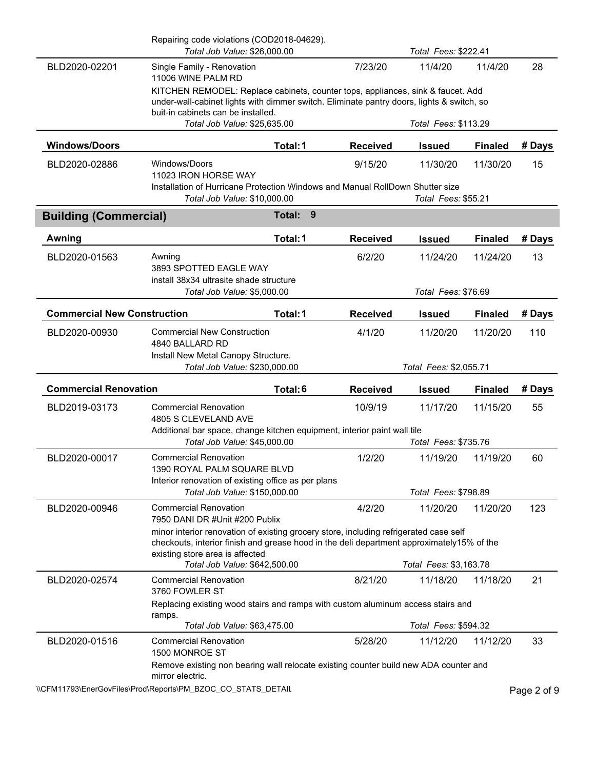|                                    | Repairing code violations (COD2018-04629).<br>Total Job Value: \$26,000.00                                                                                                         |             |                        | Total Fees: \$222.41             |                |        |
|------------------------------------|------------------------------------------------------------------------------------------------------------------------------------------------------------------------------------|-------------|------------------------|----------------------------------|----------------|--------|
| BLD2020-02201                      | Single Family - Renovation<br>11006 WINE PALM RD                                                                                                                                   |             | 7/23/20                | 11/4/20                          | 11/4/20        | 28     |
|                                    | KITCHEN REMODEL: Replace cabinets, counter tops, appliances, sink & faucet. Add                                                                                                    |             |                        |                                  |                |        |
|                                    | under-wall-cabinet lights with dimmer switch. Eliminate pantry doors, lights & switch, so<br>buit-in cabinets can be installed.                                                    |             |                        |                                  |                |        |
|                                    | Total Job Value: \$25,635.00                                                                                                                                                       |             |                        | Total Fees: \$113.29             |                |        |
| <b>Windows/Doors</b>               |                                                                                                                                                                                    | Total: 1    | <b>Received</b>        | <b>Issued</b>                    | <b>Finaled</b> | # Days |
| BLD2020-02886                      | Windows/Doors<br>11023 IRON HORSE WAY                                                                                                                                              |             | 9/15/20                | 11/30/20                         | 11/30/20       | 15     |
|                                    | Installation of Hurricane Protection Windows and Manual RollDown Shutter size<br>Total Job Value: \$10,000.00                                                                      |             |                        | Total Fees: \$55.21              |                |        |
| <b>Building (Commercial)</b>       |                                                                                                                                                                                    | 9<br>Total: |                        |                                  |                |        |
| Awning                             |                                                                                                                                                                                    | Total: 1    | <b>Received</b>        | <b>Issued</b>                    | <b>Finaled</b> | # Days |
| BLD2020-01563                      | Awning<br>3893 SPOTTED EAGLE WAY                                                                                                                                                   |             | 6/2/20                 | 11/24/20                         | 11/24/20       | 13     |
|                                    | install 38x34 ultrasite shade structure<br>Total Job Value: \$5,000.00                                                                                                             |             |                        | Total Fees: \$76.69              |                |        |
| <b>Commercial New Construction</b> |                                                                                                                                                                                    | Total: 1    | <b>Received</b>        | <b>Issued</b>                    | <b>Finaled</b> | # Days |
| BLD2020-00930                      | <b>Commercial New Construction</b><br>4840 BALLARD RD                                                                                                                              |             | 4/1/20                 | 11/20/20                         | 11/20/20       | 110    |
|                                    | Install New Metal Canopy Structure.<br>Total Job Value: \$230,000.00                                                                                                               |             | Total Fees: \$2,055.71 |                                  |                |        |
| <b>Commercial Renovation</b>       |                                                                                                                                                                                    | Total:6     | <b>Received</b>        | <b>Issued</b>                    | <b>Finaled</b> | # Days |
| BLD2019-03173                      | <b>Commercial Renovation</b><br>4805 S CLEVELAND AVE                                                                                                                               |             | 10/9/19                | 11/17/20                         | 11/15/20       | 55     |
|                                    | Additional bar space, change kitchen equipment, interior paint wall tile<br>Total Job Value: \$45,000.00                                                                           |             |                        | Total Fees: \$735.76             |                |        |
| BLD2020-00017                      | <b>Commercial Renovation</b><br>1390 ROYAL PALM SQUARE BLVD                                                                                                                        |             | 1/2/20                 | 11/19/20                         | 11/19/20       | 60     |
|                                    | Interior renovation of existing office as per plans                                                                                                                                |             |                        |                                  |                |        |
| BLD2020-00946                      | Total Job Value: \$150,000.00<br><b>Commercial Renovation</b>                                                                                                                      |             | 4/2/20                 | Total Fees: \$798.89<br>11/20/20 | 11/20/20       | 123    |
|                                    | 7950 DANI DR #Unit #200 Publix                                                                                                                                                     |             |                        |                                  |                |        |
|                                    | minor interior renovation of existing grocery store, including refrigerated case self<br>checkouts, interior finish and grease hood in the deli department approximately15% of the |             |                        |                                  |                |        |
|                                    | existing store area is affected<br>Total Job Value: \$642,500.00                                                                                                                   |             |                        | Total Fees: \$3,163.78           |                |        |
| BLD2020-02574                      | <b>Commercial Renovation</b><br>3760 FOWLER ST                                                                                                                                     |             | 8/21/20                | 11/18/20                         | 11/18/20       | 21     |
|                                    | Replacing existing wood stairs and ramps with custom aluminum access stairs and<br>ramps.                                                                                          |             |                        |                                  |                |        |
|                                    | Total Job Value: \$63,475.00                                                                                                                                                       |             |                        | Total Fees: \$594.32             |                |        |
| BLD2020-01516                      | <b>Commercial Renovation</b><br>1500 MONROE ST                                                                                                                                     |             | 5/28/20                | 11/12/20                         | 11/12/20       | 33     |
|                                    | Remove existing non bearing wall relocate existing counter build new ADA counter and<br>mirror electric.<br>$\sim$                                                                 |             |                        |                                  |                |        |

\\CFM11793\EnerGovFiles\Prod\Reports\PM\_BZOC\_CO\_STATS\_DETAIL\PhysicalCritic Page 2 of 9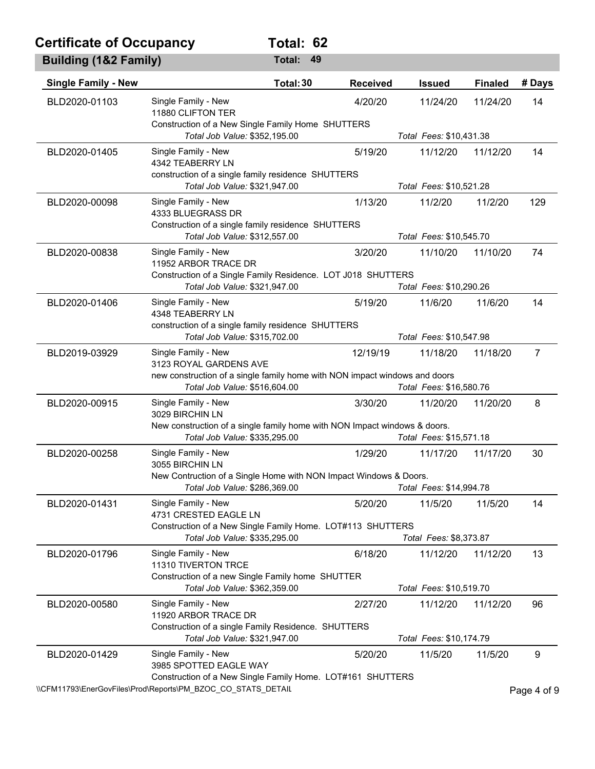## **Certificate of Occupancy Total: 62**

| <b>Building (1&amp;2 Family)</b> |                                                                                                                            | Total: 49 |                 |                         |                |                |
|----------------------------------|----------------------------------------------------------------------------------------------------------------------------|-----------|-----------------|-------------------------|----------------|----------------|
| <b>Single Family - New</b>       |                                                                                                                            | Total: 30 | <b>Received</b> | <b>Issued</b>           | <b>Finaled</b> | # Days         |
| BLD2020-01103                    | Single Family - New<br>11880 CLIFTON TER<br>Construction of a New Single Family Home SHUTTERS                              |           | 4/20/20         | 11/24/20                | 11/24/20       | 14             |
|                                  | Total Job Value: \$352,195.00                                                                                              |           |                 | Total Fees: \$10,431.38 |                |                |
| BLD2020-01405                    | Single Family - New<br>4342 TEABERRY LN<br>construction of a single family residence SHUTTERS                              |           | 5/19/20         | 11/12/20                | 11/12/20       | 14             |
|                                  | Total Job Value: \$321,947.00                                                                                              |           |                 | Total Fees: \$10,521.28 |                |                |
| BLD2020-00098                    | Single Family - New<br>4333 BLUEGRASS DR<br>Construction of a single family residence SHUTTERS                             |           | 1/13/20         | 11/2/20                 | 11/2/20        | 129            |
|                                  | Total Job Value: \$312,557.00                                                                                              |           |                 | Total Fees: \$10,545.70 |                |                |
| BLD2020-00838                    | Single Family - New<br>11952 ARBOR TRACE DR<br>Construction of a Single Family Residence. LOT J018 SHUTTERS                |           | 3/20/20         | 11/10/20                | 11/10/20       | 74             |
|                                  | Total Job Value: \$321,947.00                                                                                              |           |                 | Total Fees: \$10,290.26 |                |                |
| BLD2020-01406                    | Single Family - New<br>4348 TEABERRY LN<br>construction of a single family residence SHUTTERS                              |           | 5/19/20         | 11/6/20                 | 11/6/20        | 14             |
|                                  | Total Job Value: \$315,702.00                                                                                              |           |                 | Total Fees: \$10,547.98 |                |                |
| BLD2019-03929                    | Single Family - New<br>3123 ROYAL GARDENS AVE                                                                              |           | 12/19/19        | 11/18/20                | 11/18/20       | $\overline{7}$ |
|                                  | new construction of a single family home with NON impact windows and doors<br>Total Job Value: \$516,604.00                |           |                 | Total Fees: \$16,580.76 |                |                |
| BLD2020-00915                    | Single Family - New<br>3029 BIRCHIN LN                                                                                     |           | 3/30/20         | 11/20/20                | 11/20/20       | 8              |
|                                  | New construction of a single family home with NON Impact windows & doors.<br>Total Job Value: \$335,295.00                 |           |                 | Total Fees: \$15,571.18 |                |                |
| BLD2020-00258                    | Single Family - New<br>3055 BIRCHIN LN                                                                                     |           | 1/29/20         | 11/17/20                | 11/17/20       | 30             |
|                                  | New Contruction of a Single Home with NON Impact Windows & Doors.                                                          |           |                 |                         |                |                |
|                                  | Total Job Value: \$286,369.00                                                                                              |           |                 | Total Fees: \$14,994.78 |                |                |
| BLD2020-01431                    | Single Family - New<br>4731 CRESTED EAGLE LN<br>Construction of a New Single Family Home. LOT#113 SHUTTERS                 |           | 5/20/20         | 11/5/20                 | 11/5/20        | 14             |
|                                  | Total Job Value: \$335,295.00                                                                                              |           |                 | Total Fees: \$8,373.87  |                |                |
| BLD2020-01796                    | Single Family - New<br>11310 TIVERTON TRCE                                                                                 |           | 6/18/20         | 11/12/20                | 11/12/20       | 13             |
|                                  | Construction of a new Single Family home SHUTTER<br>Total Job Value: \$362,359.00                                          |           |                 | Total Fees: \$10,519.70 |                |                |
| BLD2020-00580                    | Single Family - New<br>11920 ARBOR TRACE DR                                                                                |           | 2/27/20         | 11/12/20                | 11/12/20       | 96             |
|                                  | Construction of a single Family Residence. SHUTTERS<br>Total Job Value: \$321,947.00                                       |           |                 | Total Fees: \$10,174.79 |                |                |
| BLD2020-01429                    | Single Family - New<br>3985 SPOTTED EAGLE WAY                                                                              |           | 5/20/20         | 11/5/20                 | 11/5/20        | 9              |
|                                  | Construction of a New Single Family Home. LOT#161 SHUTTERS<br>\\CFM11793\EnerGovFiles\Prod\Reports\PM_BZOC_CO_STATS_DETAIL |           |                 |                         |                | Page 4 of 9    |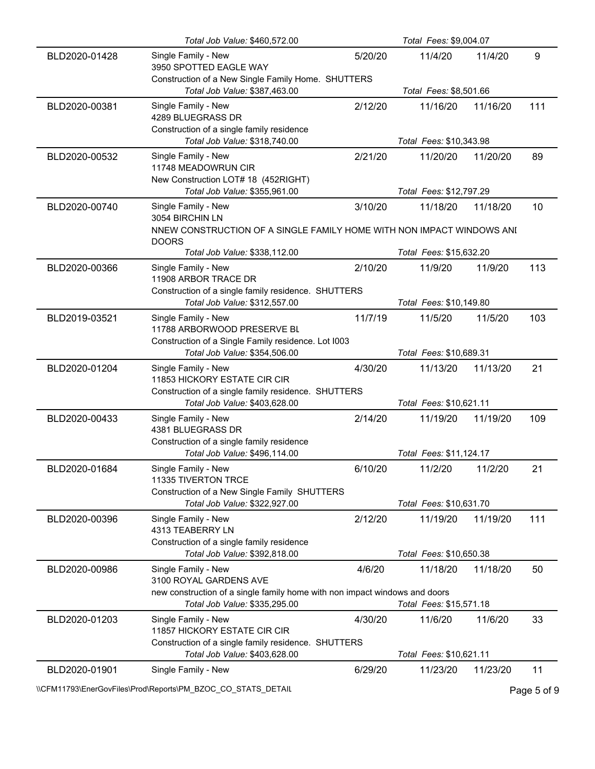|               | Total Job Value: \$460,572.00                                                                               |         | Total Fees: \$9,004.07  |          |     |
|---------------|-------------------------------------------------------------------------------------------------------------|---------|-------------------------|----------|-----|
| BLD2020-01428 | Single Family - New<br>3950 SPOTTED EAGLE WAY                                                               | 5/20/20 | 11/4/20                 | 11/4/20  | 9   |
|               | Construction of a New Single Family Home. SHUTTERS<br>Total Job Value: \$387,463.00                         |         | Total Fees: \$8,501.66  |          |     |
| BLD2020-00381 | Single Family - New<br>4289 BLUEGRASS DR<br>Construction of a single family residence                       | 2/12/20 | 11/16/20                | 11/16/20 | 111 |
|               | Total Job Value: \$318,740.00                                                                               |         | Total Fees: \$10,343.98 |          |     |
| BLD2020-00532 | Single Family - New<br>11748 MEADOWRUN CIR<br>New Construction LOT# 18 (452RIGHT)                           | 2/21/20 | 11/20/20                | 11/20/20 | 89  |
|               | Total Job Value: \$355,961.00                                                                               |         | Total Fees: \$12,797.29 |          |     |
| BLD2020-00740 | Single Family - New<br>3054 BIRCHIN LN                                                                      | 3/10/20 | 11/18/20                | 11/18/20 | 10  |
|               | NNEW CONSTRUCTION OF A SINGLE FAMILY HOME WITH NON IMPACT WINDOWS ANI<br><b>DOORS</b>                       |         |                         |          |     |
|               | Total Job Value: \$338,112.00                                                                               |         | Total Fees: \$15,632.20 |          |     |
| BLD2020-00366 | Single Family - New<br>11908 ARBOR TRACE DR                                                                 | 2/10/20 | 11/9/20                 | 11/9/20  | 113 |
|               | Construction of a single family residence. SHUTTERS<br>Total Job Value: \$312,557.00                        |         | Total Fees: \$10,149.80 |          |     |
| BLD2019-03521 | Single Family - New<br>11788 ARBORWOOD PRESERVE BL<br>Construction of a Single Family residence. Lot I003   | 11/7/19 | 11/5/20                 | 11/5/20  | 103 |
|               | Total Job Value: \$354,506.00                                                                               |         | Total Fees: \$10,689.31 |          |     |
| BLD2020-01204 | Single Family - New<br>11853 HICKORY ESTATE CIR CIR<br>Construction of a single family residence. SHUTTERS  | 4/30/20 | 11/13/20                | 11/13/20 | 21  |
|               | Total Job Value: \$403,628.00                                                                               |         | Total Fees: \$10,621.11 |          |     |
| BLD2020-00433 | Single Family - New<br>4381 BLUEGRASS DR<br>Construction of a single family residence                       | 2/14/20 | 11/19/20                | 11/19/20 | 109 |
|               | Total Job Value: \$496,114.00                                                                               |         | Total Fees: \$11,124.17 |          |     |
| BLD2020-01684 | Single Family - New<br>11335 TIVERTON TRCE                                                                  | 6/10/20 | 11/2/20                 | 11/2/20  | 21  |
|               | Construction of a New Single Family SHUTTERS<br>Total Job Value: \$322,927.00                               |         | Total Fees: \$10,631.70 |          |     |
| BLD2020-00396 | Single Family - New<br>4313 TEABERRY LN<br>Construction of a single family residence                        | 2/12/20 | 11/19/20                | 11/19/20 | 111 |
|               | Total Job Value: \$392,818.00                                                                               |         | Total Fees: \$10,650.38 |          |     |
| BLD2020-00986 | Single Family - New<br>3100 ROYAL GARDENS AVE                                                               | 4/6/20  | 11/18/20                | 11/18/20 | 50  |
|               | new construction of a single family home with non impact windows and doors<br>Total Job Value: \$335,295.00 |         | Total Fees: \$15,571.18 |          |     |
| BLD2020-01203 | Single Family - New<br>11857 HICKORY ESTATE CIR CIR                                                         | 4/30/20 | 11/6/20                 | 11/6/20  | 33  |
|               | Construction of a single family residence. SHUTTERS<br>Total Job Value: \$403,628.00                        |         | Total Fees: \$10,621.11 |          |     |
| BLD2020-01901 | Single Family - New                                                                                         | 6/29/20 | 11/23/20                | 11/23/20 | 11  |

\\CFM11793\EnerGovFiles\Prod\Reports\PM\_BZOC\_CO\_STATS\_DETAIL\PhysicalCritic Page 5 of 9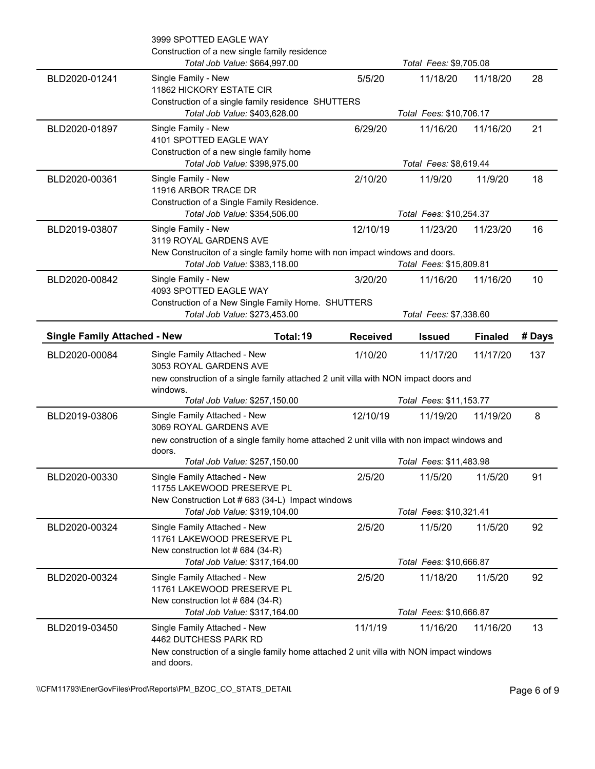|                                     | 3999 SPOTTED EAGLE WAY<br>Construction of a new single family residence<br>Total Job Value: \$664,997.00                                        |                 | Total Fees: \$9,705.08             |                |        |
|-------------------------------------|-------------------------------------------------------------------------------------------------------------------------------------------------|-----------------|------------------------------------|----------------|--------|
| BLD2020-01241                       | Single Family - New<br>11862 HICKORY ESTATE CIR<br>Construction of a single family residence SHUTTERS                                           | 5/5/20          | 11/18/20                           | 11/18/20       | 28     |
|                                     | Total Job Value: \$403,628.00                                                                                                                   |                 | Total Fees: \$10,706.17            |                |        |
| BLD2020-01897                       | Single Family - New<br>4101 SPOTTED EAGLE WAY<br>Construction of a new single family home                                                       | 6/29/20         | 11/16/20                           | 11/16/20       | 21     |
|                                     | Total Job Value: \$398,975.00                                                                                                                   |                 | Total Fees: \$8,619.44             |                |        |
| BLD2020-00361                       | Single Family - New<br>11916 ARBOR TRACE DR<br>Construction of a Single Family Residence.                                                       | 2/10/20         | 11/9/20                            | 11/9/20        | 18     |
|                                     | Total Job Value: \$354,506.00                                                                                                                   |                 | Total Fees: \$10,254.37            |                |        |
| BLD2019-03807                       | Single Family - New<br>3119 ROYAL GARDENS AVE<br>New Construciton of a single family home with non impact windows and doors.                    | 12/10/19        | 11/23/20                           | 11/23/20       | 16     |
|                                     | Total Job Value: \$383,118.00                                                                                                                   |                 | Total Fees: \$15,809.81            |                |        |
| BLD2020-00842                       | Single Family - New<br>4093 SPOTTED EAGLE WAY<br>Construction of a New Single Family Home. SHUTTERS                                             | 3/20/20         | 11/16/20                           | 11/16/20       | 10     |
|                                     | Total Job Value: \$273,453.00                                                                                                                   |                 | Total Fees: \$7,338.60             |                |        |
| <b>Single Family Attached - New</b> | Total: 19                                                                                                                                       | <b>Received</b> | <b>Issued</b>                      | <b>Finaled</b> | # Days |
| BLD2020-00084                       | Single Family Attached - New                                                                                                                    | 1/10/20         | 11/17/20                           | 11/17/20       | 137    |
|                                     | 3053 ROYAL GARDENS AVE                                                                                                                          |                 |                                    |                |        |
|                                     | new construction of a single family attached 2 unit villa with NON impact doors and<br>windows.                                                 |                 |                                    |                |        |
|                                     | Total Job Value: \$257,150.00                                                                                                                   |                 | Total Fees: \$11,153.77            |                |        |
| BLD2019-03806                       | Single Family Attached - New<br>3069 ROYAL GARDENS AVE                                                                                          | 12/10/19        | 11/19/20                           | 11/19/20       | 8      |
|                                     | new construction of a single family home attached 2 unit villa with non impact windows and                                                      |                 |                                    |                |        |
|                                     | doors.<br>Total Job Value: \$257,150.00                                                                                                         |                 | Total Fees: \$11,483.98            |                |        |
| BLD2020-00330                       | Single Family Attached - New<br>11755 LAKEWOOD PRESERVE PL                                                                                      | 2/5/20          | 11/5/20                            | 11/5/20        | 91     |
|                                     | New Construction Lot # 683 (34-L) Impact windows                                                                                                |                 |                                    |                |        |
| BLD2020-00324                       | Total Job Value: \$319,104.00<br>Single Family Attached - New<br>11761 LAKEWOOD PRESERVE PL                                                     | 2/5/20          | Total Fees: \$10,321.41<br>11/5/20 | 11/5/20        | 92     |
|                                     | New construction lot #684 (34-R)<br>Total Job Value: \$317,164.00                                                                               |                 | Total Fees: \$10,666.87            |                |        |
| BLD2020-00324                       | Single Family Attached - New<br>11761 LAKEWOOD PRESERVE PL                                                                                      | 2/5/20          | 11/18/20                           | 11/5/20        | 92     |
|                                     | New construction lot #684 (34-R)<br>Total Job Value: \$317,164.00                                                                               |                 | Total Fees: \$10,666.87            |                |        |
| BLD2019-03450                       | Single Family Attached - New<br>4462 DUTCHESS PARK RD<br>New construction of a single family home attached 2 unit villa with NON impact windows | 11/1/19         | 11/16/20                           | 11/16/20       | 13     |

\\CFM11793\EnerGovFiles\Prod\Reports\PM\_BZOC\_CO\_STATS\_DETAIL\PhysicalCritic Page 6 of 9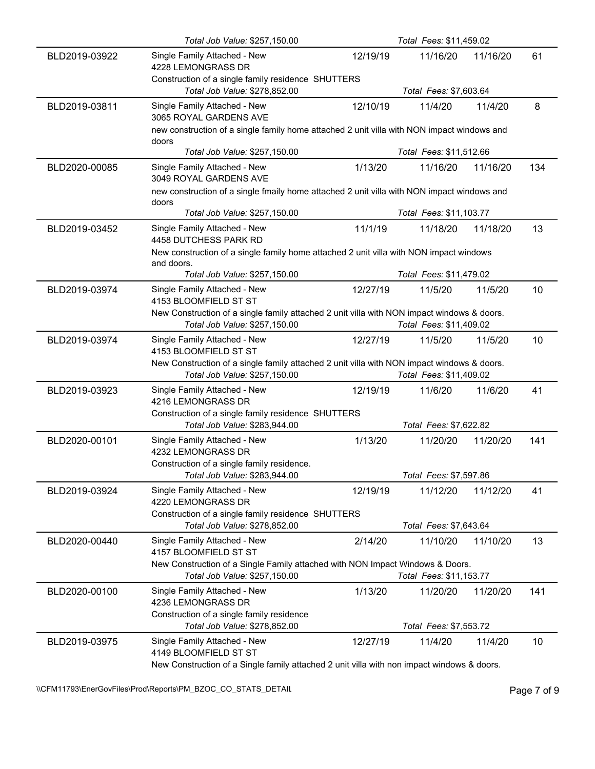|               | Total Job Value: \$257,150.00                                                                                               |          | Total Fees: \$11,459.02            |          |     |
|---------------|-----------------------------------------------------------------------------------------------------------------------------|----------|------------------------------------|----------|-----|
| BLD2019-03922 | Single Family Attached - New<br>4228 LEMONGRASS DR                                                                          | 12/19/19 | 11/16/20                           | 11/16/20 | 61  |
|               | Construction of a single family residence SHUTTERS<br>Total Job Value: \$278,852.00                                         |          | Total Fees: \$7,603.64             |          |     |
| BLD2019-03811 | Single Family Attached - New<br>3065 ROYAL GARDENS AVE                                                                      | 12/10/19 | 11/4/20                            | 11/4/20  | 8   |
|               | new construction of a single family home attached 2 unit villa with NON impact windows and<br>doors                         |          |                                    |          |     |
|               | Total Job Value: \$257,150.00                                                                                               |          | Total Fees: \$11,512.66            |          |     |
| BLD2020-00085 | Single Family Attached - New<br>3049 ROYAL GARDENS AVE                                                                      | 1/13/20  | 11/16/20                           | 11/16/20 | 134 |
|               | new construction of a single fmaily home attached 2 unit villa with NON impact windows and<br>doors                         |          |                                    |          |     |
|               | Total Job Value: \$257,150.00                                                                                               |          | Total Fees: \$11,103.77            |          |     |
| BLD2019-03452 | Single Family Attached - New<br>4458 DUTCHESS PARK RD                                                                       | 11/1/19  | 11/18/20                           | 11/18/20 | 13  |
|               | New construction of a single family home attached 2 unit villa with NON impact windows                                      |          |                                    |          |     |
|               | and doors.<br>Total Job Value: \$257,150.00                                                                                 |          | Total Fees: \$11,479.02            |          |     |
| BLD2019-03974 | Single Family Attached - New<br>4153 BLOOMFIELD ST ST                                                                       | 12/27/19 | 11/5/20                            | 11/5/20  | 10  |
|               | New Construction of a single family attached 2 unit villa with NON impact windows & doors.                                  |          |                                    |          |     |
|               | Total Job Value: \$257,150.00                                                                                               |          | Total Fees: \$11,409.02            |          |     |
| BLD2019-03974 | Single Family Attached - New<br>4153 BLOOMFIELD ST ST                                                                       | 12/27/19 | 11/5/20                            | 11/5/20  | 10  |
|               |                                                                                                                             |          |                                    |          |     |
|               | New Construction of a single family attached 2 unit villa with NON impact windows & doors.<br>Total Job Value: \$257,150.00 |          | Total Fees: \$11,409.02            |          |     |
| BLD2019-03923 | Single Family Attached - New<br>4216 LEMONGRASS DR                                                                          | 12/19/19 | 11/6/20                            | 11/6/20  | 41  |
|               | Construction of a single family residence SHUTTERS<br>Total Job Value: \$283,944.00                                         |          | Total Fees: \$7,622.82             |          |     |
| BLD2020-00101 | Single Family Attached - New<br>4232 LEMONGRASS DR                                                                          | 1/13/20  | 11/20/20                           | 11/20/20 | 141 |
|               | Construction of a single family residence.<br>Total Job Value: \$283,944.00                                                 |          | Total Fees: \$7,597.86             |          |     |
| BLD2019-03924 | Single Family Attached - New                                                                                                | 12/19/19 | 11/12/20                           | 11/12/20 | 41  |
|               | 4220 LEMONGRASS DR<br>Construction of a single family residence SHUTTERS                                                    |          |                                    |          |     |
| BLD2020-00440 | Total Job Value: \$278,852.00<br>Single Family Attached - New                                                               | 2/14/20  | Total Fees: \$7,643.64<br>11/10/20 | 11/10/20 | 13  |
|               | 4157 BLOOMFIELD ST ST<br>New Construction of a Single Family attached with NON Impact Windows & Doors.                      |          |                                    |          |     |
|               | Total Job Value: \$257,150.00                                                                                               |          | Total Fees: \$11,153.77            |          |     |
| BLD2020-00100 | Single Family Attached - New<br>4236 LEMONGRASS DR                                                                          | 1/13/20  | 11/20/20                           | 11/20/20 | 141 |
|               | Construction of a single family residence                                                                                   |          |                                    |          |     |
| BLD2019-03975 | Total Job Value: \$278,852.00<br>Single Family Attached - New<br>4149 BLOOMFIELD ST ST                                      | 12/27/19 | Total Fees: \$7,553.72<br>11/4/20  | 11/4/20  | 10  |

\\CFM11793\EnerGovFiles\Prod\Reports\PM\_BZOC\_CO\_STATS\_DETAIL\PhysicalCritic Page 7 of 9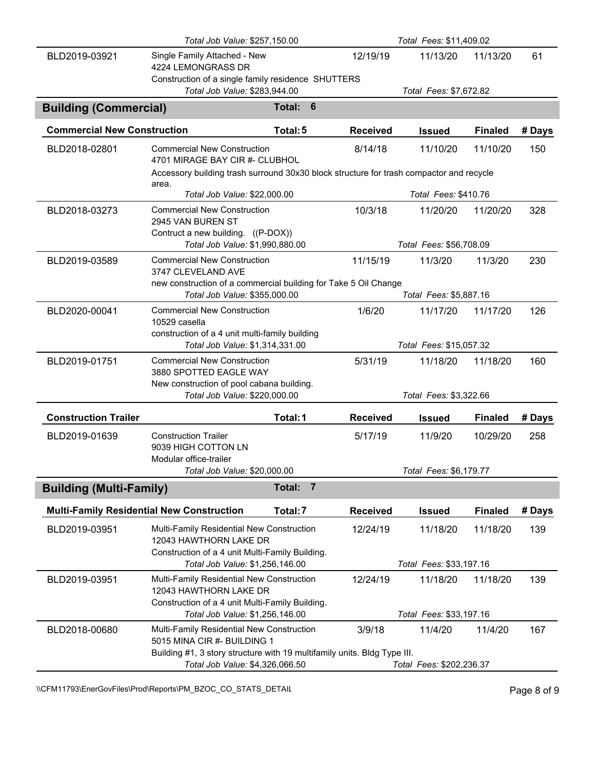|                                    | Total Fees: \$11,409.02<br>Total Job Value: \$257,150.00                                                                                                                                |                          |                 |                                     |                |        |
|------------------------------------|-----------------------------------------------------------------------------------------------------------------------------------------------------------------------------------------|--------------------------|-----------------|-------------------------------------|----------------|--------|
| BLD2019-03921                      | Single Family Attached - New<br>4224 LEMONGRASS DR                                                                                                                                      |                          | 12/19/19        | 11/13/20                            | 11/13/20       | 61     |
|                                    | Construction of a single family residence SHUTTERS<br>Total Job Value: \$283,944.00                                                                                                     |                          |                 | Total Fees: \$7,672.82              |                |        |
|                                    |                                                                                                                                                                                         |                          |                 |                                     |                |        |
| <b>Building (Commercial)</b>       |                                                                                                                                                                                         | 6<br>Total:              |                 |                                     |                |        |
| <b>Commercial New Construction</b> |                                                                                                                                                                                         | Total: 5                 | <b>Received</b> | <b>Issued</b>                       | <b>Finaled</b> | # Days |
| BLD2018-02801                      | <b>Commercial New Construction</b><br>4701 MIRAGE BAY CIR #- CLUBHOU<br>Accessory building trash surround 30x30 block structure for trash compactor and recycle                         |                          | 8/14/18         | 11/10/20                            | 11/10/20       | 150    |
|                                    | area.<br>Total Job Value: \$22,000.00                                                                                                                                                   |                          |                 | Total Fees: \$410.76                |                |        |
| BLD2018-03273                      | <b>Commercial New Construction</b><br>2945 VAN BUREN ST<br>Contruct a new building. ((P-DOX))                                                                                           |                          | 10/3/18         | 11/20/20                            | 11/20/20       | 328    |
|                                    | Total Job Value: \$1,990,880.00                                                                                                                                                         |                          |                 | Total Fees: \$56,708.09             |                |        |
| BLD2019-03589                      | <b>Commercial New Construction</b><br>3747 CLEVELAND AVE                                                                                                                                |                          | 11/15/19        | 11/3/20                             | 11/3/20        | 230    |
|                                    | new construction of a commercial building for Take 5 Oil Change                                                                                                                         |                          |                 |                                     |                |        |
|                                    | Total Job Value: \$355,000.00<br><b>Commercial New Construction</b>                                                                                                                     |                          |                 | Total Fees: \$5,887.16              |                |        |
| BLD2020-00041                      | 10529 casella                                                                                                                                                                           |                          | 1/6/20          | 11/17/20                            | 11/17/20       | 126    |
|                                    | construction of a 4 unit multi-family building<br>Total Job Value: \$1,314,331.00                                                                                                       |                          |                 | Total Fees: \$15,057.32             |                |        |
| BLD2019-01751                      | <b>Commercial New Construction</b><br>3880 SPOTTED EAGLE WAY                                                                                                                            |                          | 5/31/19         | 11/18/20                            | 11/18/20       | 160    |
|                                    | New construction of pool cabana building.<br>Total Job Value: \$220,000.00                                                                                                              |                          |                 | Total Fees: \$3,322.66              |                |        |
| <b>Construction Trailer</b>        |                                                                                                                                                                                         | Total: 1                 | <b>Received</b> | <b>Issued</b>                       | <b>Finaled</b> | # Days |
| BLD2019-01639                      | <b>Construction Trailer</b><br>9039 HIGH COTTON LN                                                                                                                                      |                          | 5/17/19         | 11/9/20                             | 10/29/20       | 258    |
|                                    | Modular office-trailer<br>Total Job Value: \$20,000.00                                                                                                                                  |                          |                 | Total Fees: \$6,179.77              |                |        |
| <b>Building (Multi-Family)</b>     |                                                                                                                                                                                         | Total:<br>$\overline{7}$ |                 |                                     |                |        |
|                                    |                                                                                                                                                                                         |                          |                 |                                     |                |        |
|                                    | <b>Multi-Family Residential New Construction</b>                                                                                                                                        | Total: 7                 | <b>Received</b> | <b>Issued</b>                       | <b>Finaled</b> | # Days |
| BLD2019-03951                      | Multi-Family Residential New Construction<br>12043 HAWTHORN LAKE DR<br>Construction of a 4 unit Multi-Family Building.                                                                  |                          | 12/24/19        | 11/18/20                            | 11/18/20       | 139    |
|                                    | Total Job Value: \$1,256,146.00                                                                                                                                                         |                          |                 | Total Fees: \$33,197.16             |                |        |
| BLD2019-03951                      | Multi-Family Residential New Construction<br>12043 HAWTHORN LAKE DR<br>Construction of a 4 unit Multi-Family Building.                                                                  |                          | 12/24/19        | 11/18/20                            | 11/18/20       | 139    |
|                                    | Total Job Value: \$1,256,146.00                                                                                                                                                         |                          |                 | Total Fees: \$33,197.16             |                |        |
| BLD2018-00680                      | Multi-Family Residential New Construction<br>5015 MINA CIR #- BUILDING 1<br>Building #1, 3 story structure with 19 multifamily units. Bldg Type III.<br>Total Job Value: \$4,326,066.50 |                          | 3/9/18          | 11/4/20<br>Total Fees: \$202,236.37 | 11/4/20        | 167    |
|                                    |                                                                                                                                                                                         |                          |                 |                                     |                |        |

\\CFM11793\EnerGovFiles\Prod\Reports\PM\_BZOC\_CO\_STATS\_DETAIL\PhysicalCritic Page 8 of 9